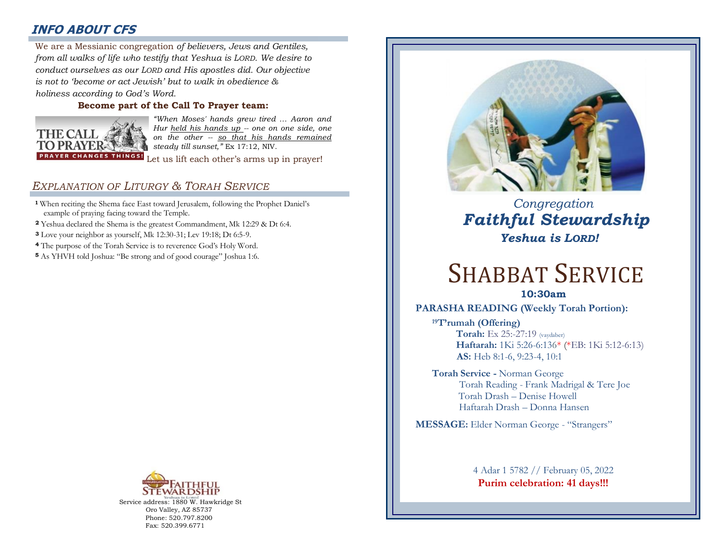# **INFO ABOUT CFS**

: *from all walks of life who testify that Yeshua is LORD. We desire to*  We are a Messianic congregation *of believers, Jews and Gentiles, conduct ourselves as our LORD and His apostles did. Our objective is not to 'become or act Jewish' but to walk in obedience & holiness according to God's Word.* 

## **Become part of the Call To Prayer team:**



*"When Moses' hands grew tired … Aaron and Hur held his hands up -- one on one side, one on the other -- so that his hands remained steady till sunset,"* Ex 17:12, NIV.

Let us lift each other's arms up in prayer!

## *EXPLANATION OF LITURGY & TORAH SERVICE*

- **<sup>1</sup>** When reciting the Shema face East toward Jerusalem, following the Prophet Daniel's example of praying facing toward the Temple.
- **<sup>2</sup>** Yeshua declared the Shema is the greatest Commandment, Mk 12:29 & Dt 6:4.
- **<sup>3</sup>** Love your neighbor as yourself, Mk 12:30-31; Lev 19:18; Dt 6:5-9.
- **<sup>4</sup>** The purpose of the Torah Service is to reverence God's Holy Word.
- **<sup>5</sup>** As YHVH told Joshua: "Be strong and of good courage" Joshua 1:6.



Service address: 1880 W. Hawkridge St Oro Valley, AZ 85737 Phone: 520.797.8200 Fax: 520.399.6771



 *Congregation Faithful Stewardship Yeshua is LORD!*

# SHABBAT SERVICE

**10:30am**

### **PARASHA READING (Weekly Torah Portion):**

**<sup>19</sup>T'rumah (Offering) Torah:** Ex 25:-27:19 (vaydaber)  **Haftarah:** 1Ki 5:26-6:136\* (\*EB: 1Ki 5:12-6:13) **AS:** Heb 8:1-6, 9:23-4, 10:1

**Torah Service -** Norman George Torah Reading - Frank Madrigal & Tere Joe Torah Drash – Denise Howell Haftarah Drash – Donna Hansen

**MESSAGE:** Elder Norman George - "Strangers"